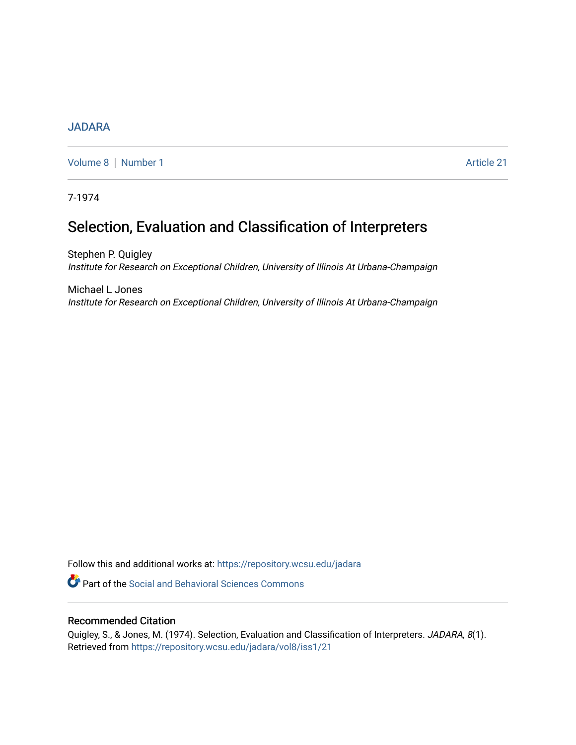## [JADARA](https://repository.wcsu.edu/jadara)

[Volume 8](https://repository.wcsu.edu/jadara/vol8) | [Number 1](https://repository.wcsu.edu/jadara/vol8/iss1) Article 21

7-1974

# Selection, Evaluation and Classification of Interpreters

Stephen P. Quigley Institute for Research on Exceptional Children, University of Illinois At Urbana-Champaign

Michael L Jones Institute for Research on Exceptional Children, University of Illinois At Urbana-Champaign

Follow this and additional works at: [https://repository.wcsu.edu/jadara](https://repository.wcsu.edu/jadara?utm_source=repository.wcsu.edu%2Fjadara%2Fvol8%2Fiss1%2F21&utm_medium=PDF&utm_campaign=PDFCoverPages)

Part of the [Social and Behavioral Sciences Commons](http://network.bepress.com/hgg/discipline/316?utm_source=repository.wcsu.edu%2Fjadara%2Fvol8%2Fiss1%2F21&utm_medium=PDF&utm_campaign=PDFCoverPages) 

## Recommended Citation

Quigley, S., & Jones, M. (1974). Selection, Evaluation and Classification of Interpreters. JADARA, 8(1). Retrieved from [https://repository.wcsu.edu/jadara/vol8/iss1/21](https://repository.wcsu.edu/jadara/vol8/iss1/21?utm_source=repository.wcsu.edu%2Fjadara%2Fvol8%2Fiss1%2F21&utm_medium=PDF&utm_campaign=PDFCoverPages)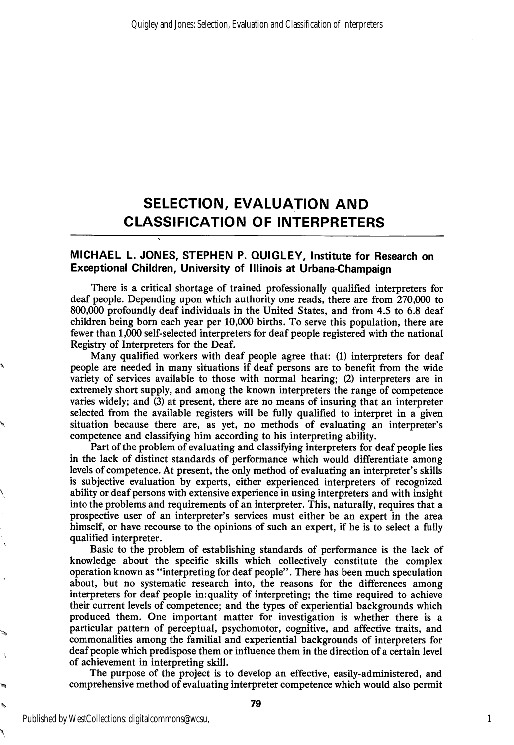## SELECTION, EVALUATION AND CLASSIFICATION OF INTERPRETERS

### MICHAEL L. JONES, STEPHEN P. QUIGLEY, institute for Research on Exceptional Children, University of Illinois at Urbana-Champaign

 $\ddot{\phantom{0}}$ 

There is a critical shortage of trained professionally qualified interpreters for deaf people. Depending upon which authority one reads, there are from 270,000 to 800,000 profoundly deaf individuals in the United States, and from 4.5 to 6.8 deaf children being born each year per 10,000 births. To serve this population, there are fewer than 1,000 self-selected interpreters for deaf people registered with the national Registry of Interpreters for the Deaf.

Many qualified workers with deaf people agree that: (1) interpreters for deaf people are needed in many situations if deaf persons are to benefit from the wide variety of services available to those with normal hearing; (2) interpreters are in extremely short supply, and among the known interpreters the range of competence varies widely; and (3) at present, there are no means of insuring that an interpreter selected from the available registers will be fully qualified to interpret in a given situation because there are, as yet, no methods of evaluating an interpreter's competence and classifying him according to his interpreting ability.

Part of the problem of evaluating and classifying interpreters for deaf people lies in the lack of distinct standards of performance which would differentiate among levels of competence. At present, the only method of evaluating an interpreter's skills is subjective evaluation by experts, either experienced interpreters of recognized ability or deaf persons with extensive experience in using interpreters and with insight into the problems and requirements of an interpreter. This, naturally, requires that a prospective user of an interpreter's services must either be an expert in the area himself, or have recourse to the opinions of such an expert, if he is to select a fully qualified interpreter.

Basic to the problem of establishing standards of performance is the lack of knowledge about the specific skills which collectively constitute the complex operation known as \*'interpreting for deaf people". There has been much speculation about, but no systematic research into, the reasons for the differences among interpreters for deaf people in:quality of interpreting; the time required to achieve their current levels of competence; and the types of experiential backgrounds which produced them. One important matter for investigation is whether there is a particular pattern of perceptual, psychomotor, cognitive, and affective traits, and commonalities among the familial and experiential backgrounds of interpreters for deaf people which predispose them or influence them in the direction of a certain level of achievement in interpreting skill.

The purpose of the project is to develop an effective, easily-administered, and comprehensive method of evaluating interpreter competence which would also permit

۹,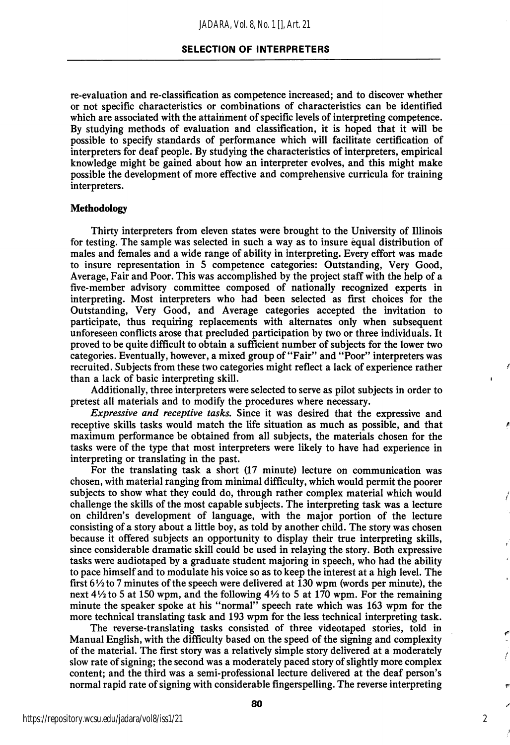re-evaluation and re-classification as competence increased; and to discover whether or not specific characteristics or combinations of characteristics can be identified which are associated with the attainment of specific levels of interpreting competence. By studying methods of evaluation and classification, it is hoped that it will be possible to specify standards of performance which will facilitate certification of interpreters for deaf people. By studying the characteristics of interpreters, empirical knowledge might be gained about how an interpreter evolves, and this might make possible the development of more effective and comprehensive curricula for training interpreters.

#### Methodology

Thirty interpreters from eleven states were brought to the University of Illinois for testing. The sample was selected in such a way as to insure equal distribution of males and females and a wide range of ability in interpreting. Every effort was made to insure representation in 5 competence categories: Outstanding, Very Good, Average, Fair and Poor. This was accomplished by the project staff with the help of a five-member advisory committee composed of nationally recognized experts in interpreting. Most interpreters who had been selected as first choices for the Outstanding, Very Good, and Average categories accepted the invitation to participate, thus requiring replacements with alternates only when subsequent unforeseen conflicts arose that precluded participation by two or three individuals. It proved to be quite difficult to obtain a sufficient number of subjects for the lower two categories. Eventually, however, a mixed group of "Fair" and "Poor" interpreters was recruited. Subjects from these two categories might reflect a lack of experience rather than a lack of basic interpreting skill.

Additionally, three interpreters were selected to serve as pilot subjects in order to pretest all materials and to modify the procedures where necessary.

Expressive and receptive tasks. Since it was desired that the expressive and receptive skills tasks would match the life situation as much as possible, and that maximum performance be obtained from all subjects, the materials chosen for the tasks were of the type that most interpreters were likely to have had experience in interpreting or translating in the past.

For the translating task a short (17 minute) lecture on communication was chosen, with material ranging from minimal difficulty, which would permit the poorer subjects to show what they could do, through rather complex material which would challenge the skills of the most capable subjects. The interpreting task was a lecture on children's development of language, with the major portion of the lecture consisting of a story about a little boy, as told by another child. The story was chosen because it offered subjects an opportunity to display their true interpreting skills, since considerable dramatic skill could be used in relaying the story. Both expressive tasks were audiotaped by a graduate student majoring in speech, who had the ability to pace himself and to modulate his voice so as to keep the interest at a high level. The first  $6\frac{1}{2}$  to 7 minutes of the speech were delivered at 130 wpm (words per minute), the next  $4\frac{1}{2}$  to 5 at 150 wpm, and the following  $4\frac{1}{2}$  to 5 at 170 wpm. For the remaining minute the speaker spoke at his "normal" speech rate which was 163 wpm for the more technical translating task and 193 wpm for the less technical interpreting task.

The reverse-translating tasks consisted of three videotaped stories, told in Manual English, with the difficulty based on the speed of the signing and complexity of the material. The first story was a relatively simple story delivered at a moderately slow rate of signing; the second was a moderately paced story of slightly more complex content; and the third was a semi-professional lecture delivered at the deaf person's normal rapid rate of signing with considerable fingerspelling. The reverse interpreting

2

f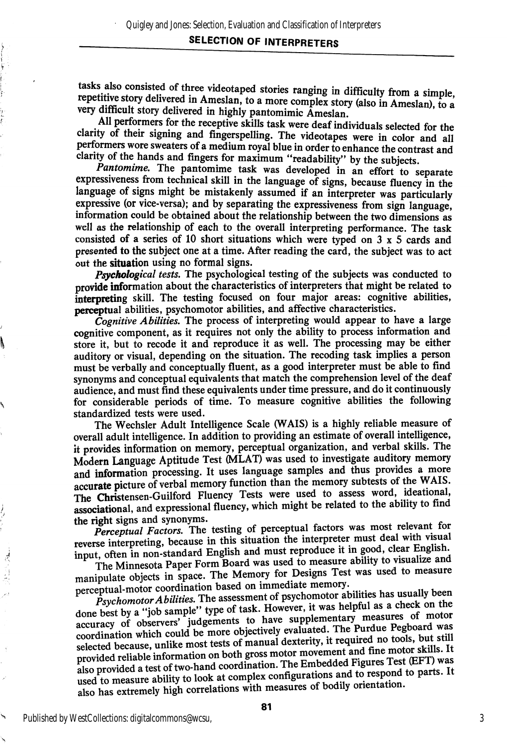## SELECTION OF INTERPRETERS

tasks also consisted of three videotaped stories ranging in difficulty from a simple, repetitive story delivered in Ameslan, to a more complex story (also in Ameslan), to a very difficult story delivered in highly pantomimic  $\bar{A}$ meslan.

All performers for the receptive skills task were deaf individuals selected for the clarity of their signing and fingerspelling. The videotapes were in color and all performers wore sweaters of a medium royal blue in order to enhance the contrast and clarity of the hands and fingers for maximum "readability" by the subjects.

Pantomime. The pantomime task was developed in an effort to separate expressiveness from technical skill in the language of signs, because fluency in the language of signs might be mistakenly assumed if an interpreter was particularly expressive (or vice-versa); and by separating the expressiveness from sign language, information could be obtained about the relationship between the two dimensions as well as the relationship of each to the overall interpreting performance. The task consisted of a series of 10 short situations which were typed on  $3 \times 5$  cards and presented to the subject one at a time. After reading the card, the subject was to act out the situation using no formal signs.

Psychological tests. The psychological testing of the subjects was conducted to provide information about the characteristics of interpreters that might be related to interpreting skill. The testing focused on four major areas: cognitive abilities, perceptual abilities, psychomotor abilities, and affective characteristics.

Cognitive Abilities. The process of interpreting would appear to have a large cognitive component, as it requires not only the ability to process information and store it, but to recode it and reproduce it as well. The processing may be either auditory or visual, depending on the situation. The receding task implies a person must be verbally and conceptually fluent, as a good interpreter must be able to find synonyms and conceptual equivalents that match the comprehension level of the deaf audience, and must find these equivalents under time pressure, and do it continuously for considerable periods of time. To measure cognitive abilities the following standardized tests were used.

The Wechsler Adult Intelligence Scale (WAIS) is a highly reliable measure of overall adult intelligence. In addition to providing an estimate of overall intelligence, it provides information on memory, perceptual organization, and verbal skills. The Modern Language Aptitude Test (MLAT) was used to investigate auditory memory and information processing. It uses language samples and thus provides a more and information processing. It uses language samples and thus provides  $WAYE$ accurate picture of verbal memory function than the memory subtests of the WAIS. The Christensen-Guilford Fluency Tests were used to assess word, ideational, associational, and expressional fluency, which might be related to the ability to find the right signs and synonyms.

Perceptual Factors. The testing of perceptual factors was most relevant for reverse interpreting, because in this situation the interpreter must deal with visual input, often in non-standard English and must reproduce it in good, clear English.

The Minnesota Paper Form Board was used to measure ability to visualize and manipulate objects in space. The Memory for Designs Test was used to measure perceptual-motor coordination based on immediate memory.

 $\tilde{P}$ sychomotor Abilities. The assessment of psychomotor abilities has usually been done best by a "job sample" type of task. However, it was helpful as a check on the accuracy of observers' judgements to have supplementary measures of motor accuracy of observers' judgements to have suppremental The Purdue Pegboard was<br>coordination which could be more objectively evaluated. The Purdue Pegboard was coordination which could be more objectively evaluated. The quired no tools, but still<br>selected because, unlike most tests of manual dexterity, it required no tools, but still provided reliable information on both gross motor movement and fine motor skills. It also provided a test of two-hand coordination. The Embedded Figures Test (EFT) was used to measure ability to look at complex configurations and to respond to parts. It also has extremely high correlations with measures of bodily orientation.

医心病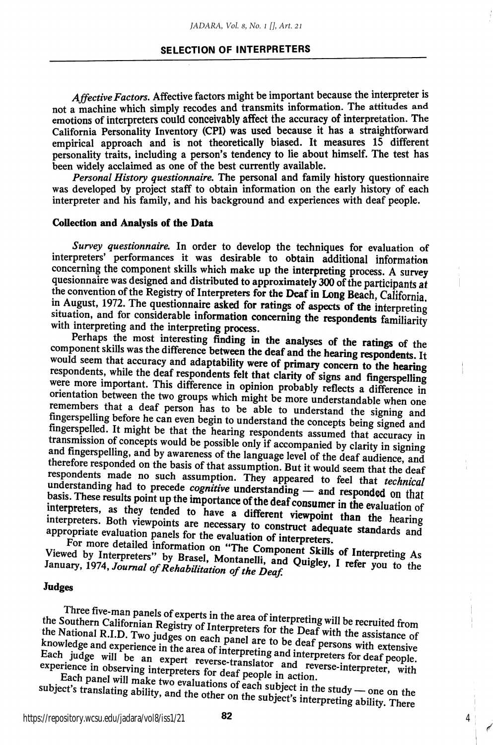#### SELECTION OF INTERPRETERS

Affective Factors. Affective factors might be important because the interpreter is not a machine which simply recodes and transmits information. The attitudes and emotions of interpreters could conceivably affect the accuracy of interpretation. The California Personality Inventory (CPI) was used because it has a straightforward empirical approach and is not theoretically biased. It measures 15 different personality traits, including a person's tendency to lie about himself. The test has been widely acclaimed as one of the best currently available.

Personal History questionnaire. The personal and family history questionnaire was developed by project staff to obtain information on the early history of each interpreter and his family, and his background and experiences with deaf people.

#### Collection and Analysis of the Data

Survey questionnaire. In order to develop the techniques for evaluation of interpreters' performances it was desirable to obtain additional information concerning the component skills which make up the interpreting process. A survey quesionnaire was designed and distributed to approximately 300 of the participants at the convention of the Registry of Interpreters for the Deaf in Long Beach, California. in August, 1972. The questionnaire asked for ratings of aspects of the interpreting situation, and for considerable information concerning the respondents familiarity with interpreting and the interpreting process.

Perhaps the most interesting finding in the analyses of the ratings of the component skills was the difference between the deaf and the hearing respondents. It would seem that accuracy and adaptability were of primary concern to the hearing respondents, while the deaf respondents felt that clarity of signs and fingerspelling were more important. This difference in opinion probably reflects a difference in orientation between the two groups which might be more understandable when one remembers that a deaf person has to be able to understand the signing and fingerspelling before he can even begin to understand the concepts being signed and<br>fingerspelled. It might be that the hearing respondents assumed that accuracy in transmission of concepts would be possible only if accompanied by clarity in signing and fingerspelling, and by awareness of the language level of the deaf audience, and therefore responded on the basis of that assumption. But it would seem that the deaf respondents made no such assumption. They appeared to feel that *technical* understanding had to precede *cognitive* understanding — and responded on that basis. These results point up the importance of the deaf consumer in the evaluation of interpreters, as they tended to have a different viewpo interpreters. Both viewpoints are necessary to construct adequate standards and<br>appropriate evaluation panels for the evaluation of interpreters. appropriate evaluation panels for the evaluation of interpreters.<br>Rot more detailed information of the evaluation of interpreters.

For more detailed information on "The Component Skills of Interpreting As Viewed by Interpreters" by Brasel, Montanelli, and Quigley, I refer you to the<br>January, 1974, Journal of Rehabilitation of the Doof. January, 1974, Journal of Rehabilitation of the Deaf.

#### Judges

Three five-man panels of experts in the area of interpreting will be recruited from<br>the Southern Californian Registry of Interpreters for the Deaf with the assistance of the National R.I.D. Two judges on each panel are to be deaf persons with extensive knowledge and experience in the area of interpreting and interpreters for deaf people.<br>Each judge will be an expert reverse-translator and reverse-interpreter, with experience in observing interpreters for deaf people in a Each judge will be an expert reverse-translator and reverse-interpreter, with experience in observing interpreters for deaf people in action.<br>Each panel will make two evaluations of each subject in the study — one on the

subject's translating ability, and the other on the subject's interpreting ability. There